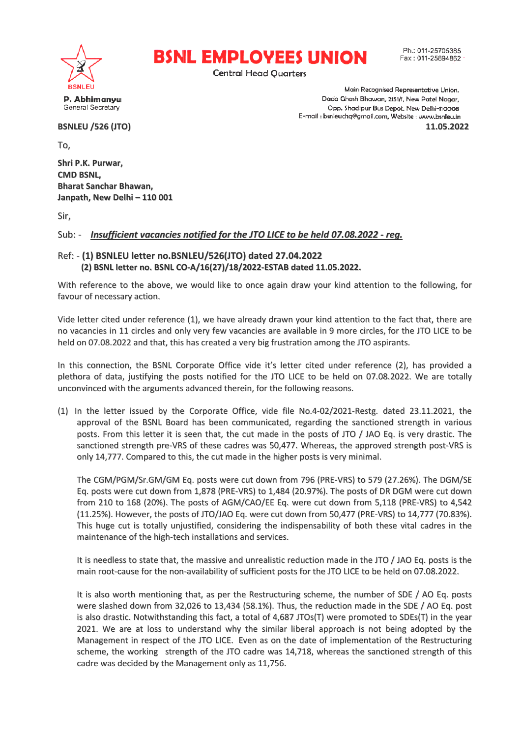



Ph: 011-25705385 Fax: 011-25894862

Main Recognised Representative Union. Dada Ghosh Bhawan, 2151/1, New Patel Nagar,

Opp. Shadipur Bus Depot, New Delhi-110008 E-mail : bsnleuchq@gmail.com, Website : www.bsnleu.in

**11.05.2022**

**Central Head Ouarters** 

P. Abhimanyu General Secretary

**BSNLEU /526 (JTO)**

To,

**Shri P.K. Purwar, CMD BSNL, Bharat Sanchar Bhawan, Janpath, New Delhi – 110 001**

Sir,

Sub: - *Insufficient vacancies n notified for the JTO LICE to be held 07.08.20 022 - reg.*

## Ref: - **(1) BSNLEU letter no.BSN NLEU/526(JTO) dated 27.04.2022 (2) BSNL letter no. BSNL CO O-A/16(27)/18/2022-ESTAB dated 11.05.2022.**

With reference to the above, we would like to once again draw your kind attention to the following, for favour of necessary action.

Vide letter cited under reference (1), we have already drawn your kind attention to the fact that, there are no vacancies in 11 circles and only very few vacancies are available in 9 more circles, for the JTO LICE to be held on 07.08.2022 and that, this has created a very big frustration among the JTO aspirants.

In this connection, the BSNL Corporate Office vide it's letter cited under reference (2), has provided a plethora of data, justifying the posts notified for the JTO LICE to be held on 07.08.2022. We are totally unconvinced with the arguments s advanced therein, for the following reasons.

(1) In the letter issued by the Corporate Office, vide file No.4-02/2021-Restg. dated 23.11.2021, the approval of the BSNL Board has been communicated, regarding the sanctioned strength in various posts. From this letter it is seen that, the cut made in the posts of JTO / JAO Eq. is very drastic. The sanctioned strength pre-VRS of these cadres was 50,477. Whereas, the approved strength post-VRS is only 14,777. Compared to this, the cut made in the higher posts is very minimal.

The CGM/PGM/Sr.GM/GM Eq. posts were cut down from 796 (PRE-VRS) to 579 (27.26%). The DGM/SE Eq. posts were cut down from 1,878 (PRE-VRS) to 1,484 (20.97%). The posts of DR DGM were cut down from 210 to 168 (20%). The posts of AGM/CAO/EE Eq. were cut down from 5,118 (PRE-VRS) to 4,542 (11.25%). However, the posts of JTO/JAO Eq. were cut down from 50,477 (PRE-VRS) to 14,777 (70.83%). This huge cut is totally unjustified, considering the indispensability of both these vital cadres in the maintenance of the high-tech installations and services.

It is needless to state that, the massive and unrealistic reduction made in the JTO / JAO Eq. posts is the main root-cause for the non-availability of sufficient posts for the JTO LICE to be held on 07.08.2022.

It is also worth mentioning that, as per the Restructuring scheme, the number of SDE / AO Eq. posts were slashed down from 32,026 to 13,434 (58.1%). Thus, the reduction made in the SDE / AO Eq. post is also drastic. Notwithstanding this fact, a total of 4,687 JTOs(T) were promoted to SDEs(T) in the year 2021. We are at loss to understand why the similar liberal approach is not being adopted by the Management in respect of the JTO LICE. Even as on the date of implementation of the Restructuring scheme, the working strength of the JTO cadre was 14,718, whereas the sanctioned strength of this cadre was decided by the M Management only as 11,756.